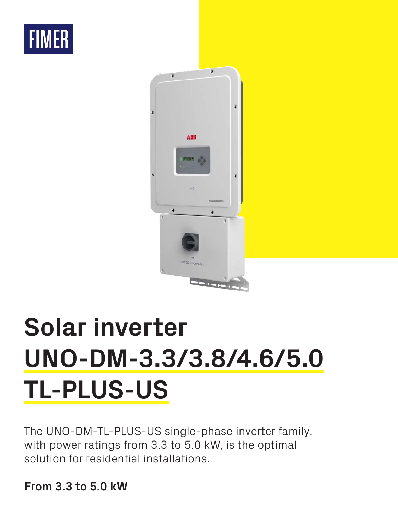



# **Solar inverter UNO-DM-3.3/3.8/4.6/5.0 TL-PLUS-US**

The UNO-DM-TL-PLUS-US single-phase inverter family, with power ratings from 3.3 to 5.0 kW, is the optimal solution for residential installations.

**From 3.3 to 5.0 kW**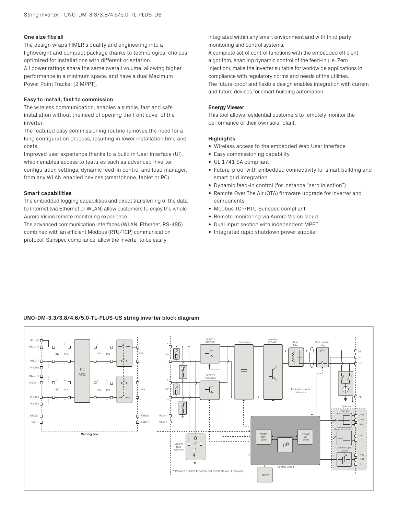# **One size fits all**

The design wraps FIMER's quality and engineering into a lightweight and compact package thanks to technological choices optimized for installations with different orientation. All power ratings share the same overall volume, allowing higher performance in a minimum space, and have a dual Maximum Power Point Tracker (2 MPPT).

## **Easy to install, fast to commission**

The wireless communication, enables a simple, fast and safe installation without the need of opening the front cover of the inverter.

The featured easy commissioning routine removes the need for a long configuration process, resulting in lower installation time and costs.

Improved user experience thanks to a build in User Interface (UI), which enables access to features such as advanced inverter configuration settings, dynamic feed-in control and load manager, from any WLAN enabled devices (smartphone, tablet or PC).

#### **Smart capabilities**

The embedded logging capabilities and direct transferring of the data to Internet (via Ethernet or WLAN) allow customers to enjoy the whole Aurora Vision remote monitoring experience.

The advanced communication interfaces (WLAN, Ethernet, RS-485) combined with an efficient Modbus (RTU/TCP) communication protocol, Sunspec compliance, allow the inverter to be easily

integrated within any smart environment and with third party monitoring and control systems.

A complete set of control functions with the embedded efficient algorithm, enabling dynamic control of the feed-in (i.e. Zero Injection), make the inverter suitable for worldwide applications in compliance with regulatory norms and needs of the utilities. The future-proof and flexible design enables integration with current and future devices for smart building automation.

#### **Energy Viewer**

This tool allows residential customers to remotely monitor the performance of their own solar plant.

#### **Highlights**

- Wireless access to the embedded Web User Interface
- Easy commissioning capability
- UL 1741 SA compliant
- Future-proof with embedded connectivity for smart building and smart grid integration
- Dynamic feed-in control (for instance "zero injection")
- Remote Over The Air (OTA) firmware upgrade for inverter and components
- Modbus TCP/RTU Sunspec compliant
- Remote monitoring via Aurora Vision cloud
- Dual input section with independent MPPT
- Integrated rapid shutdown power supplier

## **UNO-DM-3.3/3.8/4.6/5.0-TL-PLUS-US string inverter block diagram**

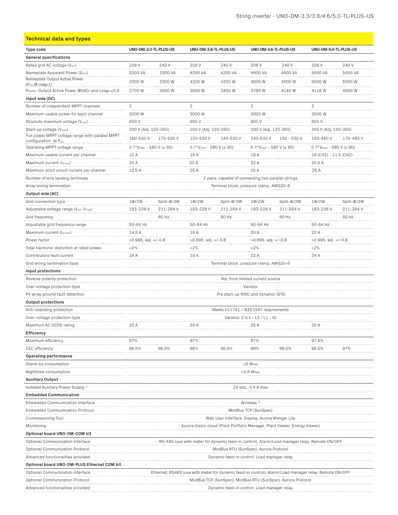| <b>Technical data and types</b>                                                                     |                                                                                                       |                                |                                                                                              |                                         |                                |                   |                                       |                 |  |
|-----------------------------------------------------------------------------------------------------|-------------------------------------------------------------------------------------------------------|--------------------------------|----------------------------------------------------------------------------------------------|-----------------------------------------|--------------------------------|-------------------|---------------------------------------|-----------------|--|
| Type code                                                                                           | UNO-DM-3.3-TL-PLUS-US                                                                                 |                                | UNO-DM-3.8-TL-PLUS-US                                                                        |                                         | UNO-DM-4.6-TL-PLUS-US          |                   | UNO-DM-5.0-TL-PLUS-US                 |                 |  |
| <b>General specifications</b>                                                                       |                                                                                                       |                                |                                                                                              |                                         |                                |                   |                                       |                 |  |
| Rated grid AC voltage (Vacr)                                                                        | 208 V                                                                                                 | 240 V                          | 208 V                                                                                        | 240 V                                   | 208 V                          | 240 V             | 208 V                                 | 240 V           |  |
| Nameplate Apparent Power (Smax)                                                                     | 3300 VA                                                                                               | 3300 VA                        | 4200 VA                                                                                      | 4200 VA                                 | 4600 VA                        | 4600 VA           | 5000 VA                               | 5000 VA         |  |
| Nameplate Output Active Power                                                                       | 3300W                                                                                                 | 3300 W                         | 4200 W                                                                                       | 4200W                                   | 4600 W                         | 4600W             | 5000 W                                | 5000 W          |  |
| $(P_{\text{max}} \boxplus \text{cos}\varphi=1)$<br>РRATED: Output Active Power IDVACr and coso=±0,9 | 2700W                                                                                                 | 3000 W                         | 3000 W                                                                                       | 3450W                                   | 3780 W                         | 4140W             | 4118 W                                | 4500W           |  |
| Input side (DC)                                                                                     |                                                                                                       |                                |                                                                                              |                                         |                                |                   |                                       |                 |  |
| Number of independent MPPT channels                                                                 | $\overline{2}$                                                                                        |                                | $\overline{c}$                                                                               |                                         | $\overline{c}$                 |                   | $\overline{c}$                        |                 |  |
| Maximum usable power for each channel                                                               | 2000W                                                                                                 |                                | 3000 W                                                                                       |                                         | 3000 W                         |                   | 3500W                                 |                 |  |
| Absolute maximum voltage (Vmax)                                                                     | 600 V                                                                                                 |                                | 600 V                                                                                        |                                         | 600 V                          |                   | 600 V                                 |                 |  |
| Start-up voltage (V <sub>start</sub> )                                                              | 200 V (Adj. 120-350)                                                                                  |                                | 200 V (Adj. 120-350)                                                                         |                                         | 200 V (Adj. 120-350)           |                   | 200 V (Adj. 120-350)                  |                 |  |
| Full power MPPT voltage range with parallel MPPT                                                    | 160-530 V                                                                                             | 170-530 V                      | 120-530 V                                                                                    | 140-530 V                               | 140-530 V                      | 150 - 530 V       | 155-480 V                             | 170-480 V       |  |
| configuration at Pacr<br>Operating MPPT voltage range                                               | $0.7*V_{start} - 580 V (\ge 90)$                                                                      |                                | $0.7*V_{start} - 580 V (\ge 90)$                                                             |                                         | $0.7*Vstart - 580 V ( \ge 90)$ |                   | $0.7*V_{start} - 580$ V ( $\geq 90$ ) |                 |  |
| Maximum usable current per channel                                                                  | 10 A                                                                                                  |                                | 16 A                                                                                         |                                         | 16 A                           |                   | 19 (CH1) - 11.5 (CH2)                 |                 |  |
| Maximum current (Idcmax)                                                                            | 20 A                                                                                                  |                                | 32 A                                                                                         |                                         | 32 A                           |                   | 30,5A                                 |                 |  |
| Maximum short circuit current per channel                                                           | 12.5A                                                                                                 |                                | 25 A                                                                                         |                                         | 25 A                           |                   | 25 A                                  |                 |  |
| Number of wire landing terminals                                                                    | 2 pairs, capable of connecting two parallel strings                                                   |                                |                                                                                              |                                         |                                |                   |                                       |                 |  |
| Array wiring termination                                                                            | Terminal block, pressure clamp, AWG20-8                                                               |                                |                                                                                              |                                         |                                |                   |                                       |                 |  |
| Output side (AC)                                                                                    |                                                                                                       |                                |                                                                                              |                                         |                                |                   |                                       |                 |  |
| Grid connection type                                                                                | $1\Phi/2W$                                                                                            | Split- $\Phi$ /3W              | $1\Phi/2W$                                                                                   | $Split-\Phi/3W$                         | $1\Phi/2W$                     | Split- $\Phi$ /3W | $1\Phi/2W$                            | $Split-\Phi/3W$ |  |
| Adjustable voltage range (Vmin-Vmax)                                                                | 183-228 V                                                                                             | 211-264 V                      | 183-228 V                                                                                    | 211-264 V                               | 183-228 V                      | 211-264 V         | 183-228 V                             | 211-264 V       |  |
| Grid frequency                                                                                      |                                                                                                       | 60 Hz                          |                                                                                              | 60 Hz                                   |                                | 60 Hz             |                                       | 60 Hz           |  |
| Adjustable grid frequency range                                                                     | 50-64 Hz                                                                                              |                                | 50-64 Hz                                                                                     |                                         | 50-64 Hz                       |                   | 50-64 Hz                              |                 |  |
| Maximum current (lac,max)                                                                           | 14.5 A                                                                                                |                                | 16 A                                                                                         |                                         | 20 A                           |                   | 22 A                                  |                 |  |
| Power factor                                                                                        | $>0.995$ , adj. $+/-0.8$                                                                              |                                | $>0.995$ , adj. $+/-0.8$                                                                     |                                         | $>0.995$ , adj. $+/-0.8$       |                   | $>0.995$ , adj. $+/-0.8$              |                 |  |
| Total harmonic distortion at rated power                                                            | $<$ 2%                                                                                                |                                | $<$ 2%                                                                                       |                                         | $<$ 2%                         |                   | $<$ 2%                                |                 |  |
| Contributory fault current                                                                          | 16 A                                                                                                  |                                | 19 A                                                                                         |                                         | 22 A                           |                   | 24 A                                  |                 |  |
| Grid wiring termination type                                                                        |                                                                                                       |                                |                                                                                              | Terminal block, pressure clamp, AWG20-6 |                                |                   |                                       |                 |  |
| Input protections                                                                                   |                                                                                                       |                                |                                                                                              |                                         |                                |                   |                                       |                 |  |
| Reverse polarity protection                                                                         | Yes, from limited current source                                                                      |                                |                                                                                              |                                         |                                |                   |                                       |                 |  |
| Over-voltage protection type                                                                        | Varistor                                                                                              |                                |                                                                                              |                                         |                                |                   |                                       |                 |  |
| PV array ground fault detection                                                                     | Pre start-up RISO and dynamic GFDI                                                                    |                                |                                                                                              |                                         |                                |                   |                                       |                 |  |
| <b>Output protections</b>                                                                           |                                                                                                       |                                |                                                                                              |                                         |                                |                   |                                       |                 |  |
| Anti-islanding protection                                                                           | Meets UL1741 / IEEE1547 requirements                                                                  |                                |                                                                                              |                                         |                                |                   |                                       |                 |  |
| Over-voltage protection type                                                                        |                                                                                                       | Varistor, 2 (L1 - L2 / L1 - G) |                                                                                              |                                         |                                |                   |                                       |                 |  |
| Maximum AC OCPD rating                                                                              | 20 A                                                                                                  |                                | 20 A                                                                                         |                                         | 25A                            |                   | 30 A                                  |                 |  |
| <b>Efficiency</b>                                                                                   |                                                                                                       |                                |                                                                                              |                                         |                                |                   |                                       |                 |  |
| Maximum efficiency                                                                                  | 97%                                                                                                   |                                | 97%                                                                                          |                                         | 97%                            |                   | 97.4%                                 |                 |  |
| CEC efficiency                                                                                      | 96.5%                                                                                                 | 96.5%                          | 96%                                                                                          | 96.5%                                   | 96%                            | 96.5%             | 96.5%                                 | 97%             |  |
| Operating performance                                                                               |                                                                                                       |                                |                                                                                              |                                         |                                |                   |                                       |                 |  |
| Stand-by consumption                                                                                | $<8$ Wrms                                                                                             |                                |                                                                                              |                                         |                                |                   |                                       |                 |  |
| Nighttime consumption                                                                               |                                                                                                       |                                |                                                                                              |                                         | $<$ 0.6 Wrms                   |                   |                                       |                 |  |
| <b>Auxiliary Output</b>                                                                             |                                                                                                       |                                |                                                                                              |                                         |                                |                   |                                       |                 |  |
| Isolated Auxiliary Power Supply <sup>1)</sup>                                                       |                                                                                                       |                                |                                                                                              |                                         | 24 Vdc, 0.4 A max              |                   |                                       |                 |  |
| <b>Embedded Communication</b>                                                                       |                                                                                                       |                                |                                                                                              |                                         |                                |                   |                                       |                 |  |
| Embedded Communication Interface                                                                    | Wireless <sup>2)</sup>                                                                                |                                |                                                                                              |                                         |                                |                   |                                       |                 |  |
| <b>Embedded Communication Protocol</b>                                                              | ModBus TCP (SunSpec)                                                                                  |                                |                                                                                              |                                         |                                |                   |                                       |                 |  |
| Commissioning Tool                                                                                  | Web User Interface, Display, Aurora Manger Lite                                                       |                                |                                                                                              |                                         |                                |                   |                                       |                 |  |
| Monitoring                                                                                          |                                                                                                       |                                | Aurora Vision cloud (Plant Portfolio Manager, Plant Viewer, Energy Viewer)                   |                                         |                                |                   |                                       |                 |  |
| Optional board UNO-DM-COM kit                                                                       |                                                                                                       |                                |                                                                                              |                                         |                                |                   |                                       |                 |  |
| Optional Communication Interface                                                                    |                                                                                                       |                                | RS-485 (use with meter for dynamic feed-in control), Alarm/Load manager relay, Remote ON/OFF |                                         |                                |                   |                                       |                 |  |
| <b>Optional Communication Protocol</b>                                                              | ModBus RTU (SunSpec), Aurora Protocol<br>Dynamic feed-in control, Load manager relay                  |                                |                                                                                              |                                         |                                |                   |                                       |                 |  |
| Advanced functionalities provided                                                                   |                                                                                                       |                                |                                                                                              |                                         |                                |                   |                                       |                 |  |
| Optional board UNO-DM-PLUS Ethernet COM kit                                                         |                                                                                                       |                                |                                                                                              |                                         |                                |                   |                                       |                 |  |
| Optional Communication Interface                                                                    | Ethernet, RS485 (use with meter for dynamic feed-in control), Alarm/Load manager relay, Remote ON/OFF |                                |                                                                                              |                                         |                                |                   |                                       |                 |  |
| Optional Communication Protocol                                                                     | ModBus TCP (SunSpec), ModBus RTU (SunSpec), Aurora Protocol                                           |                                |                                                                                              |                                         |                                |                   |                                       |                 |  |
| Advanced functionalities provided                                                                   | Dynamic feed-in control, Load manager relay                                                           |                                |                                                                                              |                                         |                                |                   |                                       |                 |  |